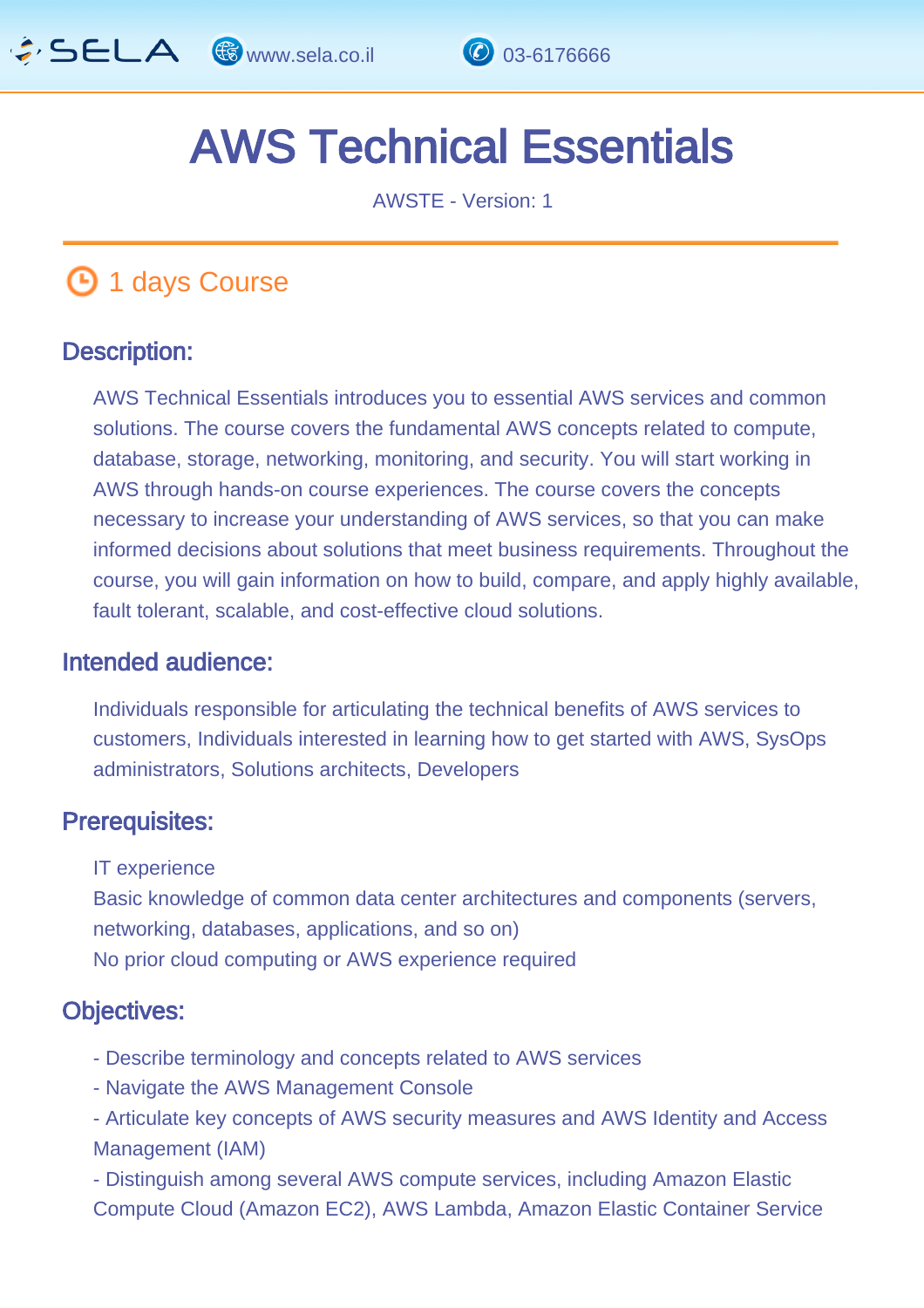

# AWS Technical Essentials

AWSTE - Version: 1

## **1 days Course**

#### Description: Ī

AWS Technical Essentials introduces you to essential AWS services and common solutions. The course covers the fundamental AWS concepts related to compute, database, storage, networking, monitoring, and security. You will start working in AWS through hands-on course experiences. The course covers the concepts necessary to increase your understanding of AWS services, so that you can make informed decisions about solutions that meet business requirements. Throughout the course, you will gain information on how to build, compare, and apply highly available, fault tolerant, scalable, and cost-effective cloud solutions.

#### Intended audience: ľ

Individuals responsible for articulating the technical benefits of AWS services to customers, Individuals interested in learning how to get started with AWS, SysOps administrators, Solutions architects, Developers

#### Prerequisites: L.

IT experience

Basic knowledge of common data center architectures and components (servers, networking, databases, applications, and so on) No prior cloud computing or AWS experience required

#### Objectives: Ĭ

- Describe terminology and concepts related to AWS services
- Navigate the AWS Management Console
- Articulate key concepts of AWS security measures and AWS Identity and Access Management (IAM)
- Distinguish among several AWS compute services, including Amazon Elastic Compute Cloud (Amazon EC2), AWS Lambda, Amazon Elastic Container Service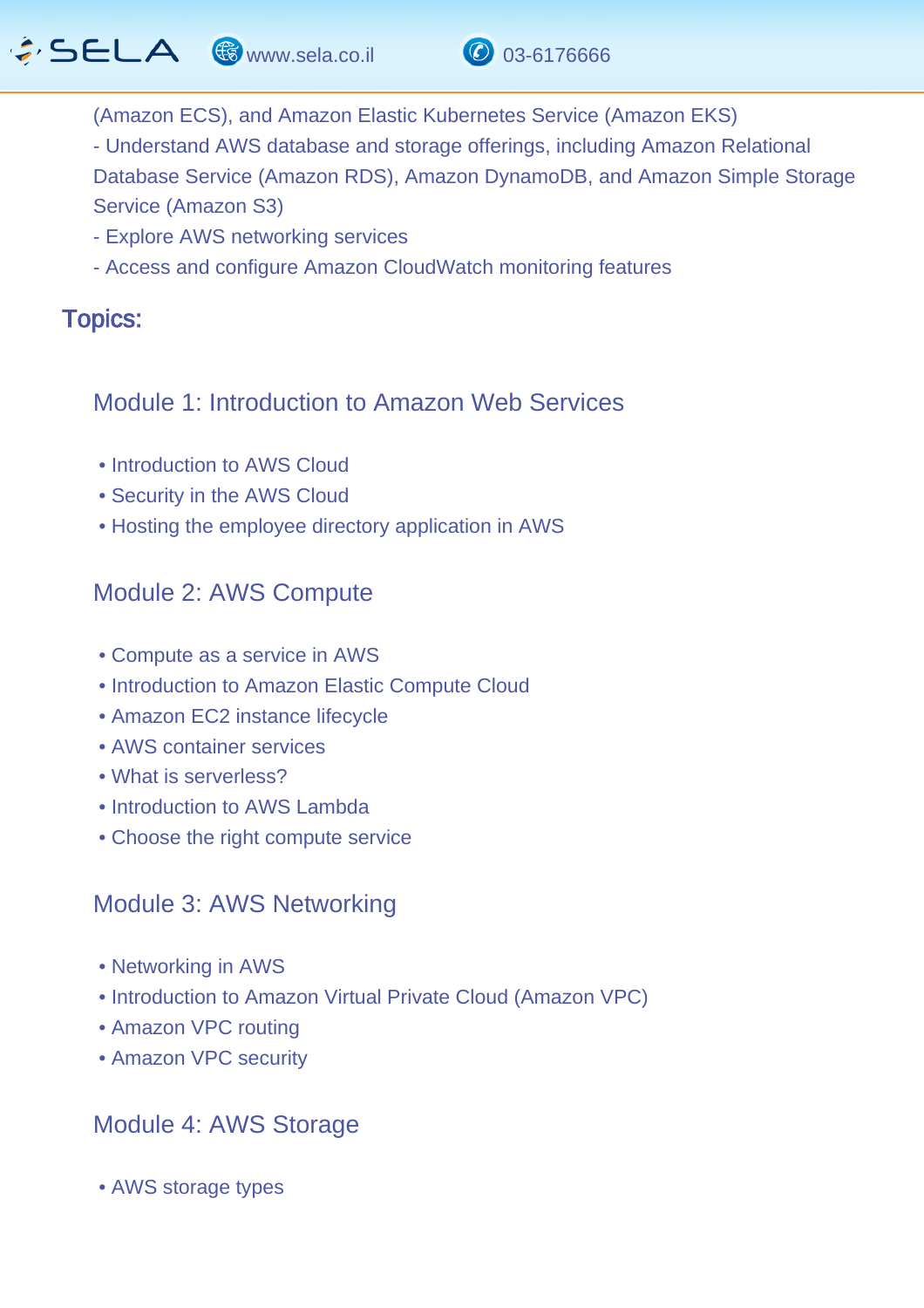

- (Amazon ECS), and Amazon Elastic Kubernetes Service (Amazon EKS)
- Understand AWS database and storage offerings, including Amazon Relational
- Database Service (Amazon RDS), Amazon DynamoDB, and Amazon Simple Storage Service (Amazon S3)
- Explore AWS networking services
- Access and configure Amazon CloudWatch monitoring features

#### Topics: J.

### Module 1: Introduction to Amazon Web Services

- Introduction to AWS Cloud
- Security in the AWS Cloud
- Hosting the employee directory application in AWS

## Module 2: AWS Compute

- Compute as a service in AWS
- Introduction to Amazon Elastic Compute Cloud
- Amazon EC2 instance lifecycle
- AWS container services
- What is serverless?
- Introduction to AWS Lambda
- Choose the right compute service

## Module 3: AWS Networking

- Networking in AWS
- Introduction to Amazon Virtual Private Cloud (Amazon VPC)
- Amazon VPC routing
- Amazon VPC security

## Module 4: AWS Storage

• AWS storage types